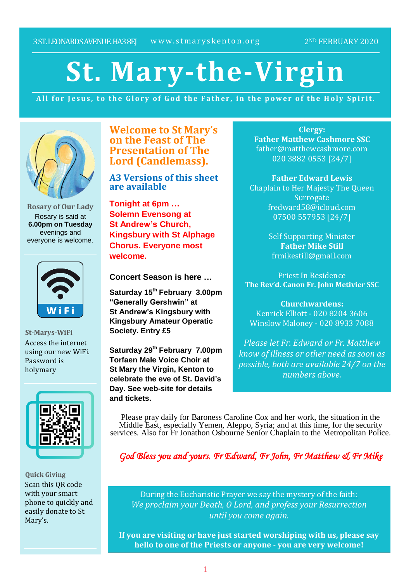# **St. Mary-the-Virgin**

All for Jesus, to the Glory of God the Father, in the power of the Holy Spirit.



**Rosary of Our Lady** Rosary is said at **6.00pm on Tuesday** evenings and everyone is welcome.



**St-Marys-WiFi** Access the internet using our new WiFi. Password is holymary



**Quick Giving** Scan this QR code with your smart phone to quickly and easily donate to St. Mary's.

**Welcome to St Mary's on the Feast of The Presentation of The Lord (Candlemass).**

**A3 Versions of this sheet are available**

**Tonight at 6pm … Solemn Evensong at St Andrew's Church, Kingsbury with St Alphage Chorus. Everyone most welcome.**

**Concert Season is here …**

**Saturday 15th February 3.00pm "Generally Gershwin" at St Andrew's Kingsbury with Kingsbury Amateur Operatic Society. Entry £5**

**Saturday 29th February 7.00pm Torfaen Male Voice Choir at St Mary the Virgin, Kenton to celebrate the eve of St. David's Day. See web-site for details and tickets.**

**Clergy: Father Matthew Cashmore SSC** father@matthewcashmore.com 020 3882 0553 [24/7]

**Father Edward Lewis** Chaplain to Her Majesty The Queen **Surrogate** fredward58@icloud.com 07500 557953 [24/7]

> Self Supporting Minister **Father Mike Still** frmikestill@gmail.com

Priest In Residence **The Rev'd. Canon Fr. John Metivier SSC**

**Churchwardens:** Kenrick Elliott - 020 8204 3606 Winslow Maloney - 020 8933 7088

*Please let Fr. Edward or Fr. Matthew know of illness or other need as soon as possible, both are available 24/7 on the numbers above.*

Please pray daily for Baroness Caroline Cox and her work, the situation in the Middle East, especially Yemen, Aleppo, Syria; and at this time, for the security services. Also for Fr Jonathon Osbourne Senior Chaplain to the Metropolitan Police.

*God Bless you and yours. Fr Edward, Fr John, Fr Matthew & Fr Mike*

During the Eucharistic Prayer we say the mystery of the faith: *We proclaim your Death, O Lord, and profess your Resurrection until you come again.*

**If you are visiting or have just started worshiping with us, please say hello to one of the Priests or anyone - you are very welcome!**